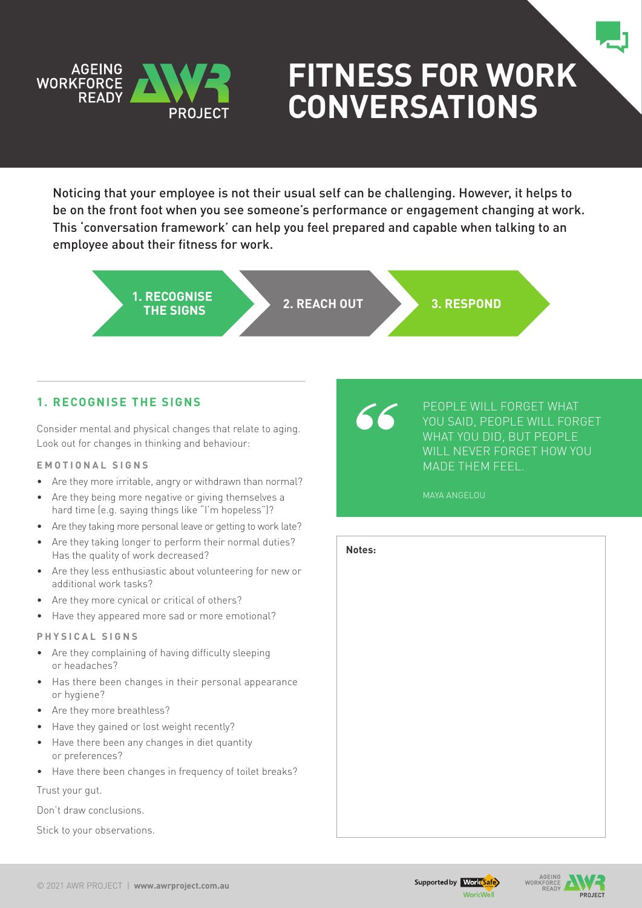

# **Fitness for Work Conversations**

Noticing that your employee is not their usual self can be challenging. However, it helps to be on the front foot when you see someone's performance or engagement changing at work. This 'conversation framework' can help you feel prepared and capable when talking to an employee about their fitness for work.

> **1. RECOGNISE THE SIGNS 2. REACH OUT 3. RESPOND**

# **1. Recognise the signs**

Consider mental and physical changes that relate to aging. Look out for changes in thinking and behaviour:

## **E m o t i o n a l S i g n s**

- Are they more irritable, angry or withdrawn than normal?
- Are they being more negative or giving themselves a hard time (e.g. saying things like "I'm hopeless")?
- Are they taking more personal leave or getting to work late?
- Are they taking longer to perform their normal duties? Has the quality of work decreased?
- Are they less enthusiastic about volunteering for new or additional work tasks?
- Are they more cynical or critical of others?
- Have they appeared more sad or more emotional?

#### **P h y s i c a l S i g n s**

- Are they complaining of having difficulty sleeping or headaches?
- Has there been changes in their personal appearance or hygiene?
- Are they more breathless?
- Have they gained or lost weight recently?
- Have there been any changes in diet quantity or preferences?
- Have there been changes in frequency of toilet breaks?

Trust your gut.

Don't draw conclusions.

Stick to your observations.

People will forget what you said, People will forget what you did, but people will never forget how you MADE THEM FEEL.

### MAYA ANGELOU



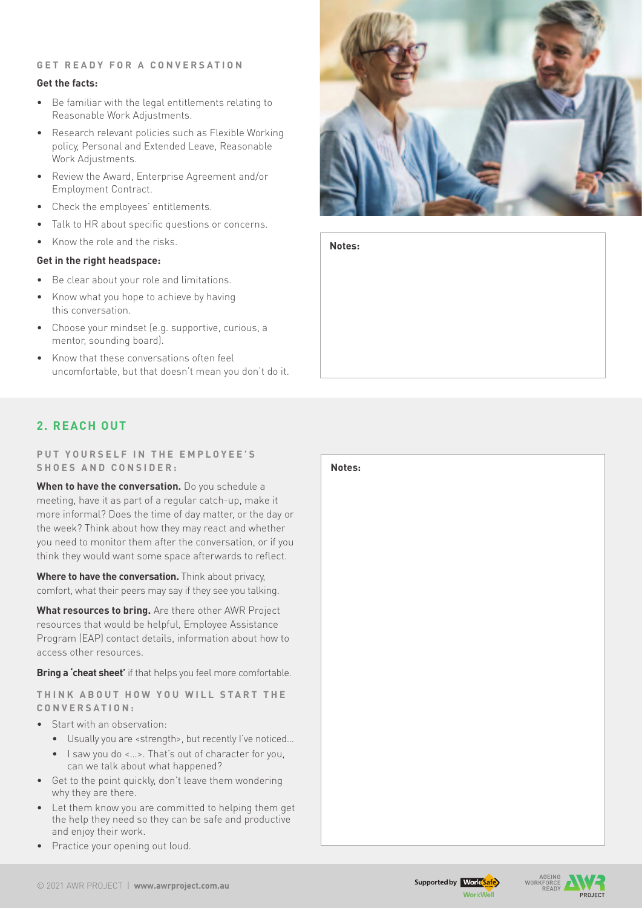## **G e t r e a d y f o r a c o n v e r s a t i o n**

## **Get the facts:**

- • Be familiar with the legal entitlements relating to Reasonable Work Adjustments.
- Research relevant policies such as Flexible Working policy, Personal and Extended Leave, Reasonable Work Adjustments.
- • Review the Award, Enterprise Agreement and/or Employment Contract.
- Check the employees' entitlements.
- Talk to HR about specific questions or concerns.
- Know the role and the risks.

## **Get in the right headspace:**

- Be clear about your role and limitations.
- Know what you hope to achieve by having this conversation.
- Choose your mindset (e.g. supportive, curious, a mentor, sounding board).
- Know that these conversations often feel uncomfortable, but that doesn't mean you don't do it.



**Notes:**

# **2. Reach Out**

**P u t y o u r s e l f i n t h e e m p l o y e e ' s**   $SHOES AND CONSIDER:$ 

**When to have the conversation.** Do you schedule a meeting, have it as part of a regular catch-up, make it more informal? Does the time of day matter, or the day or the week? Think about how they may react and whether you need to monitor them after the conversation, or if you think they would want some space afterwards to reflect.

**Where to have the conversation.** Think about privacy, comfort, what their peers may say if they see you talking.

**What resources to bring.** Are there other AWR Project resources that would be helpful, Employee Assistance Program (EAP) contact details, information about how to access other resources.

**Bring a 'cheat sheet'** if that helps you feel more comfortable.

**T h i n k a b o u t h o w y o u w i l l s t a r t t h e c o n v e r s a t i o n :**

- Start with an observation:
	- • Usually you are <strength>, but recently I've noticed…
	- I saw you do <...>. That's out of character for you, can we talk about what happened?
- Get to the point quickly, don't leave them wondering why they are there.
- Let them know you are committed to helping them get the help they need so they can be safe and productive and enjoy their work.
- Practice your opening out loud.